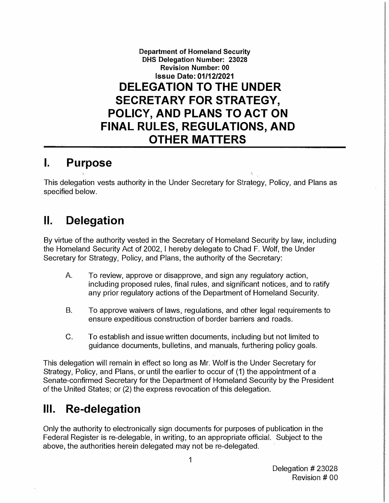**Department of Homeland Security DHS Delegation Number: 23028 Revision Number: 00 Issue Date: 01/12/2021 DELEGATION TO THE UNDER SECRETARY FOR STRATEGY, POLICY, AND PLANS TO ACT ON FINAL RULES, REGULATIONS, AND OTHER MATTERS** 

### **I. Purpose**

This delegation vests authority in the Under Secretary for Strategy, Policy, and Plans as specified below.

# **II. Delegation**

By virtue of the authority vested in the Secretary of Homeland Security by law, including the Homeland Security Act of 2002, I hereby delegate to Chad F. Wolf, the Under Secretary for Strategy, Policy, and Plans, the authority of the Secretary:

- A. To review, approve or disapprove, and sign any regulatory action, including proposed rules, final rules, and significant notices, and to ratify any prior regulatory actions of the Department of Homeland Security.
- B. To approve waivers of laws, regulations, and other legal requirements to ensure expeditious construction of border barriers and roads.
- C. To establish and issue written documents, including but not limited to guidance documents, bulletins, and manuals, furthering policy goals.

This delegation will remain in effect so long as Mr. Wolf is the Under Secretary for Strategy, Policy, and Plans, or until the earlier to occur of (1) the appointment of a Senate-confirmed Secretary for the Department of Homeland Security by the President of the United States; or (2) the express revocation of this delegation.

# **Ill. Re-delegation**

Only the authority to electronically sign documents for purposes of publication in the Federal Register is re-delegable, in writing, to an appropriate official. Subject to the above, the authorities herein delegated may not be re-delegated.